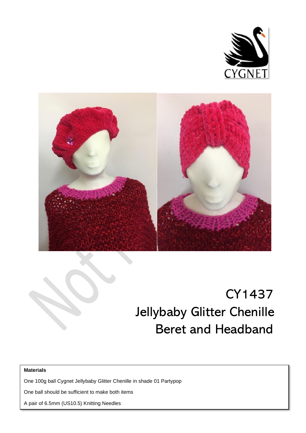



# CY1437 Jellybaby Glitter Chenille Beret and Headband

#### **Materials**

One 100g ball Cygnet Jellybaby Glitter Chenille in shade 01 Partypop

One ball should be sufficient to make both items

A pair of 6.5mm (US10.5) Knitting Needles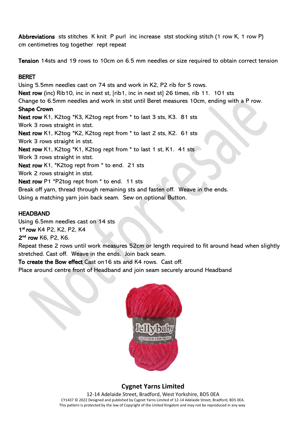Abbreviations sts stitches K knit P purl inc increase stst stocking stitch (1 row K, 1 row P) cm centimetres tog together rept repeat

Tension 14sts and 19 rows to 10cm on 6.5 mm needles or size required to obtain correct tension

### BERET

Using 5.5mm needles cast on 74 sts and work in K2, P2 rib for 5 rows. Next row (inc) Rib10, inc in next st, [rib1, inc in next st] 26 times, rib 11. 101 sts Change to 6.5mm needles and work in stst until Beret measures 10cm, ending with a P row. Shape Crown Next row K1, K2tog \*K3, K2tog rept from \* to last 3 sts, K3. 81 sts Work 3 rows straight in stst. Next row K1, K2tog \*K2, K2tog rept from \* to last 2 sts, K2. 61 sts Work 3 rows straight in stst. Next row K1, K2tog \*K1, K2tog rept from \* to last 1 st, K1, 41 sts Work 3 rows straight in stst. Next row K1, \*K2tog rept from \* to end. 21 sts Work 2 rows straight in stst. Next row P1 \*P2tog rept from \* to end. 11 sts Break off yarn, thread through remaining sts and fasten off. Weave in the ends. Using a matching yarn join back seam. Sew on optional Button.

### **HEADBAND**

Using 6.5mm needles cast on 14 sts 1st row K4 P2, K2, P2, K4 2<sup>nd</sup> row K6, P2, K6.

Repeat these 2 rows until work measures 52cm or length required to fit around head when slightly stretched. Cast off. Weave in the ends. Join back seam.

To create the Bow effect Cast on16 sts and K4 rows. Cast off.

Place around centre front of Headband and join seam securely around Headband



## **Cygnet Yarns Limited**

12-14 Adelaide Street, Bradford, West Yorkshire, BD5 0EA CY1437 © 2022 Designed and published by Cygnet Yarns Limited of 12-14 Adelaide Street, Bradford, BD5 0EA. This pattern is protected by the law of Copyright of the United Kingdom and may not be reproduced in any way